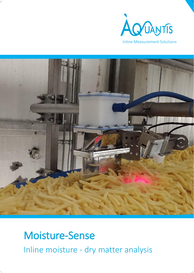



# Moisture-Sense

Inline moisture - dry matter analysis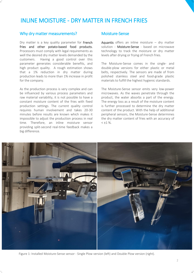### INLINE MOISTURE - DRY MATTER IN FRENCH FRIES

#### Why dry matter measurements?

Dry matter is a key quality parameter for French fries and other potato-based food products. Processors must comply with legal requirements as well the desired dry matter levels demanded by the customers. Having a good control over this parameter generates considerable benefits, and high product quality. A rough estimation shows that a 1% reduction in dry matter during production leads to more than 1% increase in profit for the company.

As the production process is very complex and can be influenced by various process parameters and raw material variability, it is not possible to have a constant moisture content of the fries with fixed production settings. The current quality control requires human involvement and takes 20-30 minutes before results are known which makes it impossible to adjust the production process in real time. Therefore, an inline moisture sensor providing split-second real-time feedback makes a big difference.

#### Moisture-Sense

Aquantis offers an inline moisture – dry matter solution - Moisture-Sense - based on microwave technology to track the moisture or dry matter levels after drying or frying of French fries.

The Moisture-Sense comes in the single- and double-plow versions for either plastic or metal belts, respectively. The sensors are made of from polished stainless steel and food-grade plastic materials to fulfill the highest hygienic standards.

The Moisture-Sense sensor emits very low-power microwaves. As the waves penetrate through the product, the water absorbs a part of the energy. The energy loss as a result of the moisture content is further processed to determine the dry matter content of the product. With the help of additional peripheral sensors, the Moisture-Sense determines the dry matter content of fries with an accuracy of  $<$   $\pm$ 1 %.



Figure 1: Installed Moisture-Sense sensor - Single Plow version (left) and Double Plow version (right).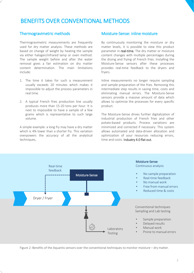### BENEFITS OVER CONVENTIONAL METHODS

#### Thermogravimetric methods

Thermogravimetric measurements are frequently used for dry matter analysis. These methods are based on change of weight by heating the sample via either halogen/infrared lamp or oven method. The sample weight before and after the water removal gives a fair estimation on dry matter content determination. The main limitations include:

- 1. The time it takes for such a measurement usually exceeds 20 minutes which makes it impossible to adjust the process parameters in real time.
- 2. A typical French fries production line usually produces more than 15-20 tons per hour. It is next to impossible to have a sample of a few grams which is representative to such large volume.

A simple example: a long fry may have a dry matter which is 4% lower than a shorter fry. This variation overpowers the accuracy of all the analytical techniques.

#### Moisture-Sense: inline moisture

By continuously monitoring the moisture or dry matter levels, it is possible to view this product parameter in real-time. The dry matter or moisture content changes with multiple percentages during the drying and frying of French fries. Installing the Moisture-Sense sensors after these processes provides real-time feedback to the dryers and fryers.

Inline measurements no longer require sampling and sample preparation of the fries. Removing this intermediate step results in saving time, costs and eliminating manual errors. The Moisture-Sense sensors provide a massive amount of data which allows to optimize the processes for every specific product.

The Moisture-Sense drives further digitalization of industrial production of French fries and other potato-based products. Process variations are minimized and corrected if necessary. This system allows automated and data-driven allocation and optimization of your resources reducing errors, time and costs. Industry 4.0 flat out.



Figure 2: Benefits of the Aquantis sensors over the conventional techniques to monitor moisture – dry matter.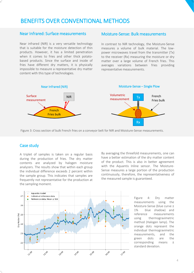### BENEFITS OVER CONVENTIONAL METHODS

### Near Infrared: Surface measurements

Near infrared (NIR) is a very versatile technology that is suitable for the moisture detection of thin products. However, it has a limited penetration when it comes to fries and other thick potatobased products. Since the surface and inside of fries have different dry matters, it is physically impossible to measure a representative dry matter content with this type of technologies.

#### Moisture-Sense: Bulk measurements

In contrast to NIR technology, the Moisture-Sense measures a volume of bulk material. The lowpower microwaves travel from the transmitter (Tx) to the receiver (Rx) measuring the moisture or dry matter over a large volume of French fries. This averages variations between fries providing representative measurements.



Figure 3: Cross section of bulk French fries on a conveyor belt for NIR and Moisture-Sense measurements.

#### Case study

A triplet of samples is taken on a regular basis during the production of fries. The dry matter contents are analyzed by halogen moisture analyzers. The results show that within each group the individual difference exceeds 2 percent within the sample group. This indicates that samples are frequently not representative for the production at the sampling moment.

By averaging the threefold measurements, one can have a better estimation of the dry matter content of the product. This is also in better agreement with the Aquantis Inline sensor. The Moisture-Sense measures a large portion of the production continuously, therefore, the representativeness of the measured sample is guaranteed.



Figure 4: Dry matter measurements using the Moisture-Sense (blue curve ± 1% blue shadow) and reference measurements using thermogravimetric method (Halogen lamp). The orange dots represent the individual thermogravimetric measurements, and the green dots are the corresponding means ± standard deviation.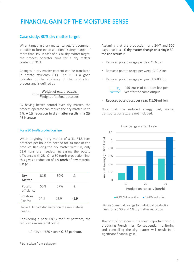### FINANCIAL GAIN OF THE MOISTURE-SENSE

#### Case study: 30% dry matter target

When targeting a dry matter target, it is common practice to foresee an additional safety margin of more than 1%. In case of a 30% dry matter target, the process operator aims for a dry matter content of 31%.

Changes in dry matter content can be translated in potato efficiency (PE). The PE is a good indicator of the efficiency of the production process and is defined as

> $PE =$ Weight of end products Weight of infeed potatoes

By having better control over dry matter, the process operator can reduce the dry matter up to 1%. A 1% reduction in dry matter results in a 2% PE increase.

#### For a 30 ton/h production line

When targeting a dry matter of 31%, 54.5 tons potatoes per hour are needed for 30 tons of end product. Reducing the dry matter with 1%, only 52.6 tons are needed, increasing the potato efficiency with 2%. On a 30 ton/h production line, this gives a reduction of  $1.9$  ton/h of raw material usage .

| Dry<br>Matter        | 31%  | 30%  |               |  |
|----------------------|------|------|---------------|--|
| Potato<br>efficiency | 55%  | 57%  | $\mathcal{L}$ |  |
| Potatoes<br>(ton/h)  | 54.5 | 52.6 | $-1.9$        |  |

Table 1: Impact dry matter on the raw material needs.

Considering a price  $\epsilon$ 80 / ton\* of potatoes, the reduced raw material cost is

1.9 ton/h  $*$  €80 / ton = €152 per hour.

\* Data taken from Belgapom

Assuming that the production runs 24/7 and 300 days a year, a 1% dry matter change on a single 30 ton line results in

- Reduced potato usage per day: 45.6 ton
- Reduced potato usage per week: 319.2 ton
- Reduced potato usage per year: 13680 ton



456 trucks of potatoes less per year for the same output

#### Reduced potato cost per year:  $\epsilon$  1.09 million

Note that the reduced energy cost, waste, transportation etc. are not included.



Financial gain after 1 year

Figure 5: Annual savings for individual production lines for a 0.5% and 1% dry matter reduction.

The cost of potatoes is the most important cost in producing French fries. Consequently, monitoring and controlling the dry matter will result in a significant financial gain.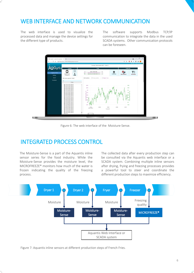### WEB INTERFACE AND NETWORK COMMUNICATION

The web interface is used to visualize the processed data and manage the device settings for the different type of products.

The software supports Modbus TCP/IP communication to integrate the data in the used SCADA systems. Other communication protocols can be foreseen.



Figure 6: The web interface of the Moisture-Sense.

### INTEGRATED PROCESS CONTROL

The Moisture-Sense is a part of the Aquantis inline sensor series for the food industry. While the Moisture-Sense provides the moisture level, the MICROFREEZE® monitors how much of the water is frozen indicating the quality of the freezing process.

The collected data after every production step can be consulted via the Aquantis web interface or a SCADA system. Combining multiple inline sensors after drying, frying and freezing processes provides a powerful tool to steer and coordinate the different production steps to maximize efficiency.



Figure 7: Aquantis inline sensors at different production steps of French Fries.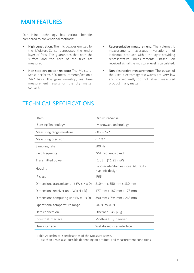### MAIN FEATURES

Our inline technology has various benefits compared to conventional methods:

- **E** High penetration: The microwaves emitted by the Moisture-Sense penetrates the entire layer of fries. This guarantees that both the surface and the core of the fries are measured
- Non-stop dry matter readout: The Moisture-Sense performs 500 measurements/sec on a 24/7 basis. This gives non-stop, real time measurement results on the dry matter content.
- **EXECTE:** Representative measurement: The volumetric measurements averages variations of individual products within the layer providing representative measurements. Based on received signal the moisture level is calculated.
- Non-destructive measurements: The power of the used electromagnetic waves are very low and consequently do not affect measured product in any matter.

| Item                                                | Moisture-Sense                                           |  |
|-----------------------------------------------------|----------------------------------------------------------|--|
| Sensing Technology                                  | Microwave technology                                     |  |
| Measuring range moisture                            | $60 - 90\%$ *                                            |  |
| Measuring precision                                 | $<$ $\pm$ 1% $*$                                         |  |
| Sampling rate                                       | 500 Hz                                                   |  |
| Field frequency                                     | ISM frequency band                                       |  |
| Transmitted power                                   | $^{\sim}$ 1 dBm ( $^{\sim}$ 1.25 mW)                     |  |
| Housing                                             | Food-grade Stainless steel AISI 304 -<br>Hygienic design |  |
| IP class                                            | <b>IP66</b>                                              |  |
| Dimensions transmitter unit $(W \times H \times D)$ | 210mm x 350 mm x 130 mm                                  |  |
| Dimensions receiver unit $(W \times H \times D)$    | 177 mm x 187 mm x 178 mm                                 |  |
| Dimensions computing unit $(W \times H \times D)$   | 390 mm x 794 mm x 268 mm                                 |  |
| Operational temperature range                       | $-40 °C$ to 40 °C                                        |  |
| Data connection                                     | Ethernet RJ45 plug                                       |  |
| Industrial interface                                | Modbus TCP/IP server                                     |  |
| User interface                                      | Web-based user interface                                 |  |

### TECHNICAL SPECIFICATIONS

Table 2: Technical specifications of the Moisture-sense.

\* Less than 1 % is also possible depending on product and measurement conditions